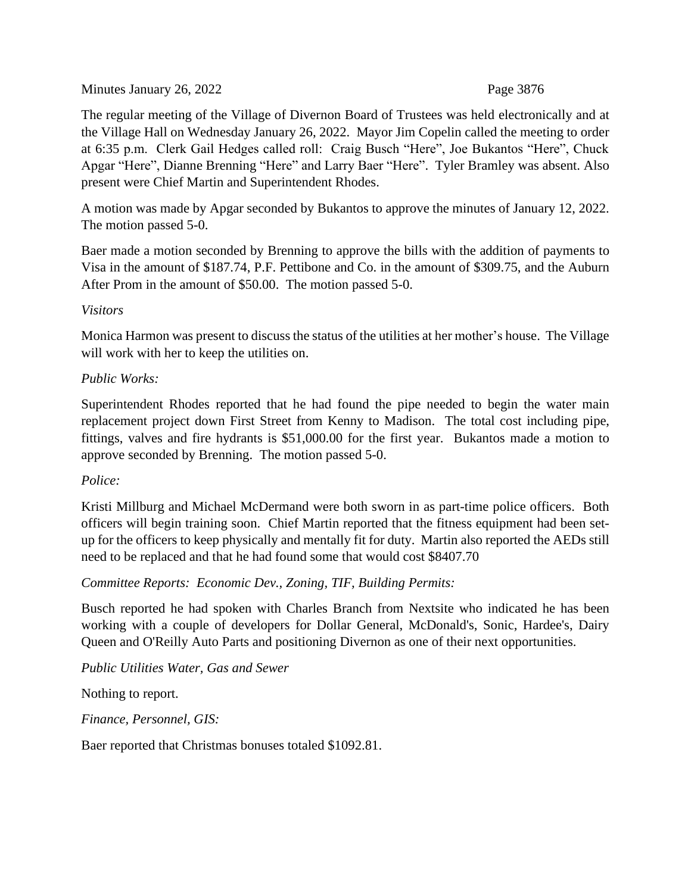Minutes January 26, 2022 Page 3876

The regular meeting of the Village of Divernon Board of Trustees was held electronically and at the Village Hall on Wednesday January 26, 2022. Mayor Jim Copelin called the meeting to order at 6:35 p.m. Clerk Gail Hedges called roll: Craig Busch "Here", Joe Bukantos "Here", Chuck Apgar "Here", Dianne Brenning "Here" and Larry Baer "Here". Tyler Bramley was absent. Also present were Chief Martin and Superintendent Rhodes.

A motion was made by Apgar seconded by Bukantos to approve the minutes of January 12, 2022. The motion passed 5-0.

Baer made a motion seconded by Brenning to approve the bills with the addition of payments to Visa in the amount of \$187.74, P.F. Pettibone and Co. in the amount of \$309.75, and the Auburn After Prom in the amount of \$50.00. The motion passed 5-0.

### *Visitors*

Monica Harmon was present to discuss the status of the utilities at her mother's house. The Village will work with her to keep the utilities on.

### *Public Works:*

Superintendent Rhodes reported that he had found the pipe needed to begin the water main replacement project down First Street from Kenny to Madison. The total cost including pipe, fittings, valves and fire hydrants is \$51,000.00 for the first year. Bukantos made a motion to approve seconded by Brenning. The motion passed 5-0.

### *Police:*

Kristi Millburg and Michael McDermand were both sworn in as part-time police officers. Both officers will begin training soon. Chief Martin reported that the fitness equipment had been setup for the officers to keep physically and mentally fit for duty. Martin also reported the AEDs still need to be replaced and that he had found some that would cost \$8407.70

*Committee Reports: Economic Dev., Zoning, TIF, Building Permits:*

Busch reported he had spoken with Charles Branch from Nextsite who indicated he has been working with a couple of developers for Dollar General, McDonald's, Sonic, Hardee's, Dairy Queen and O'Reilly Auto Parts and positioning Divernon as one of their next opportunities.

*Public Utilities Water, Gas and Sewer*

Nothing to report.

*Finance, Personnel, GIS:*

Baer reported that Christmas bonuses totaled \$1092.81.